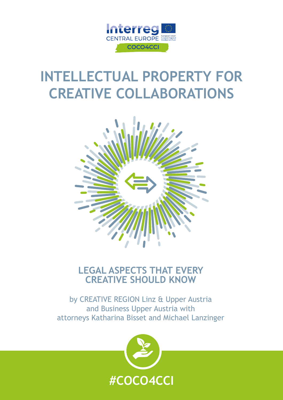

## **INTELLECTUAL PROPERTY FOR CREATIVE COLLABORATIONS**



## **LEGAL ASPECTS THAT EVERY CREATIVE SHOULD KNOW**

by CREATIVE REGION Linz & Upper Austria and Business Upper Austria with attorneys Katharina Bisset and Michael Lanzinger

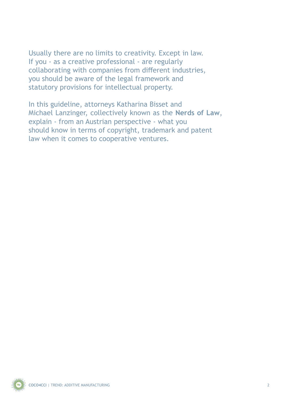Usually there are no limits to creativity. Except in law. If you - as a creative professional - are regularly collaborating with companies from different industries, you should be aware of the legal framework and statutory provisions for intellectual property.

In this guideline, attorneys Katharina Bisset and Michael Lanzinger, collectively known as the **Nerds of Law**, explain - from an Austrian perspective - what you should know in terms of copyright, trademark and patent law when it comes to cooperative ventures.

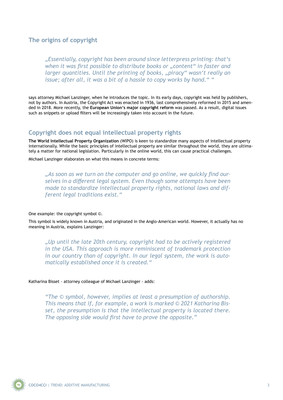#### **The origins of copyright**

*"Essentially, copyright has been around since letterpress printing: that's when it was first possible to distribute books or "content" in faster and larger quantities. Until the printing of books, "piracy" wasn't really an issue; after all, it was a bit of a hassle to copy works by hand." "* 

says attorney Michael Lanzinger, when he introduces the topic. In its early days, copyright was held by publishers, not by authors. In Austria, the Copyright Act was enacted in 1936, last comprehensively reformed in 2015 and amended in 2018. More recently, the **European Union's major copyright reform** was passed. As a result, digital issues such as snippets or upload filters will be increasingly taken into account in the future.

#### **Copyright does not equal intellectual property rights**

**The World Intellectual Property Organization** (WIPO) is keen to standardize many aspects of intellectual property internationally. While the basic principles of intellectual property are similar throughout the world, they are ultimately a matter for national legislation. Particularly in the online world, this can cause practical challenges.

Michael Lanzinger elaborates on what this means in concrete terms:

*"As soon as we turn on the computer and go online, we quickly find ourselves in a different legal system. Even though some attempts have been made to standardize intellectual property rights, national laws and different legal traditions exist."*

One example: the copyright symbol ©.

This symbol is widely known in Austria, and originated in the Anglo-American world. However, it actually has no meaning in Austria, explains Lanzinger:

*"Up until the late 20th century, copyright had to be actively registered in the USA. This approach is more reminiscent of trademark protection in our country than of copyright. In our legal system, the work is automatically established once it is created."*

Katharina Bisset - attorney colleague of Michael Lanzinger - adds:

*"The © symbol, however, implies at least a presumption of authorship. This means that if, for example, a work is marked © 2021 Katharina Bisset, the presumption is that the intellectual property is located there. The opposing side would first have to prove the opposite."*

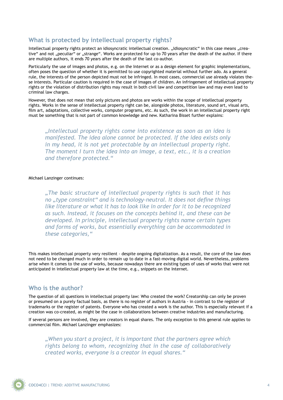#### **What is protected by intellectual property rights?**

Intellectual property rights protect an idiosyncratic intellectual creation. "Idiosyncratic" in this case means "creative" and not "peculiar" or "strange". Works are protected for up to 70 years after the death of the author. If there are multiple authors, it ends 70 years after the death of the last co-author.

Particularly the use of images and photos, e.g. on the Internet or as a design element for graphic implementations, often poses the question of whether it is permitted to use copyrighted material without further ado. As a general rule, the interests of the person depicted must not be infringed. In most cases, commercial use already violates these interests. Particular caution is required in the case of images of children. An infringement of intellectual property rights or the violation of distribution rights may result in both civil law and competition law and may even lead to criminal law charges.

However, that does not mean that only pictures and photos are works within the scope of intellectual property rights. Works in the sense of intellectual property right can be, alongside photos, literature, sound art, visual arts, film art, adaptations, collective works, computer programs, etc. As such, the work in an intellectual property right must be something that is not part of common knowledge and new. Katharina Bisset further explains:

*"Intellectual property rights come into existence as soon as an idea is manifested. The idea alone cannot be protected. If the idea exists only in my head, it is not yet protectable by an intellectual property right. The moment I turn the idea into an image, a text, etc., it is a creation and therefore protected."*

#### Michael Lanzinger continues:

*"The basic structure of intellectual property rights is such that it has no "type constraint" and is technology-neutral. It does not define things like literature or what it has to look like in order for it to be recognized as such. Instead, it focuses on the concepts behind it, and these can be developed. In principle, intellectual property rights name certain types and forms of works, but essentially everything can be accommodated in these categories,"*

This makes intellectual property very resilient - despite ongoing digitalization. As a result, the core of the law does not need to be changed much in order to remain up to date in a fast-moving digital world. Nevertheless, problems arise when it comes to the use of works, because nowadays there are existing types of uses of works that were not anticipated in intellectual property law at the time, e.g., snippets on the Internet.

#### **Who is the author?**

The question of all questions in intellectual property law: Who created the work? Creatorship can only be proven or presumed on a purely factual basis, as there is no register of authors in Austria - in contrast to the register of trademarks or the register of patents. Everyone who has created a work is the author. This is especially relevant if a creation was co-created, as might be the case in collaborations between creative industries and manufacturing.

If several persons are involved, they are creators in equal shares. The only exception to this general rule applies to commercial film. Michael Lanzinger emphasizes:

*"When you start a project, it is important that the partners agree which rights belong to whom, recognizing that in the case of collaboratively created works, everyone is a creator in equal shares."*

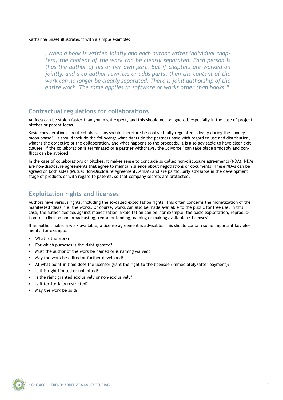Katharina Bisset illustrates it with a simple example:

*"When a book is written jointly and each author writes individual chapters, the content of the work can be clearly separated. Each person is thus the author of his or her own part. But if chapters are worked on jointly, and a co-author rewrites or adds parts, then the content of the work can no longer be clearly separated. There is joint authorship of the entire work. The same applies to software or works other than books."*

#### **Contractual regulations for collaborations**

An idea can be stolen faster than you might expect, and this should not be ignored, especially in the case of project pitches or patent ideas.

Basic considerations about collaborations should therefore be contractually regulated, ideally during the "honeymoon phase". It should include the following: what rights do the partners have with regard to use and distribution, what is the objective of the collaboration, and what happens to the proceeds. It is also advisable to have clear exit clauses. If the collaboration is terminated or a partner withdraws, the "divorce" can take place amicably and conflicts can be avoided.

In the case of collaborations or pitches, it makes sense to conclude so-called non-disclosure agreements (NDA). NDAs are non-disclosure agreements that agree to maintain silence about negotiations or documents. These NDAs can be agreed on both sides (Mutual Non-Disclosure Agreement, MNDA) and are particularly advisable in the development stage of products or with regard to patents, so that company secrets are protected.

#### **Exploitation rights and licenses**

Authors have various rights, including the so-called exploitation rights. This often concerns the monetization of the manifested ideas, i.e. the works. Of course, works can also be made available to the public for free use. In this case, the author decides against monetization. Exploitation can be, for example, the basic exploitation, reproduction, distribution and broadcasting, rental or lending, naming or making available (= licenses).

If an author makes a work available, a license agreement is advisable. This should contain some important key elements, for example:

- What is the work?
- For which purposes is the right granted?
- Must the author of the work be named or is naming waived?
- May the work be edited or further developed?
- At what point in time does the licensor grant the right to the licensee (immediately/after payment)?
- Is this right limited or unlimited?
- Is the right granted exclusively or non-exclusively?
- Is it territorially restricted?
- May the work be sold?

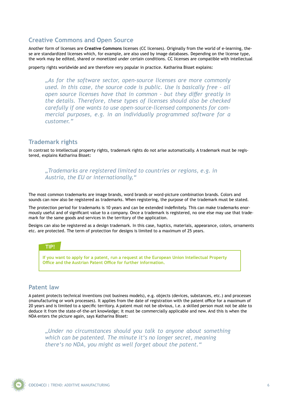#### **Creative Commons and Open Source**

Another form of licenses are **Creative Commons** licenses (CC licenses). Originally from the world of e-learning, these are standardized licenses which, for example, are also used by image databases. Depending on the license type, the work may be edited, shared or monetized under certain conditions. CC licenses are compatible with intellectual

property rights worldwide and are therefore very popular in practice. Katharina Bisset explains:

*"As for the software sector, open-source licenses are more commonly used. In this case, the source code is public. Use is basically free - all open source licenses have that in common - but they differ greatly in the details. Therefore, these types of licenses should also be checked carefully if one wants to use open-source-licensed components for commercial purposes, e.g. in an individually programmed software for a customer."*

#### **Trademark rights**

In contrast to intellectual property rights, trademark rights do not arise automatically. A trademark must be registered, explains Katharina Bisset:

#### *"Trademarks are registered limited to countries or regions, e.g. in Austria, the EU or internationally,"*

The most common trademarks are image brands, word brands or word-picture combination brands. Colors and sounds can now also be registered as trademarks. When registering, the purpose of the trademark must be stated.

The protection period for trademarks is 10 years and can be extended indefinitely. This can make trademarks enormously useful and of significant value to a company. Once a trademark is registered, no one else may use that trademark for the same goods and services in the territory of the application.

Designs can also be registered as a design trademark. In this case, haptics, materials, appearance, colors, ornaments etc. are protected. The term of protection for designs is limited to a maximum of 25 years.



#### **Patent law**

A patent protects technical inventions (not business models), e.g. objects (devices, substances, etc.) and processes (manufacturing or work processes). It applies from the date of registration with the patent office for a maximum of 20 years and is limited to a specific territory. A patent must not be obvious, i.e. a skilled person must not be able to deduce it from the state-of-the-art knowledge; it must be commercially applicable and new. And this is when the NDA enters the picture again, says Katharina Bisset:

*"Under no circumstances should you talk to anyone about something which can be patented. The minute it's no longer secret, meaning there's no NDA, you might as well forget about the patent."* 

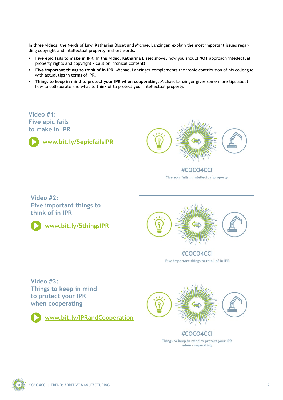In three videos, the Nerds of Law, Katharina Bisset and Michael Lanzinger, explain the most important issues regarding copyright and intellectual property in short words.

- **Five epic fails to make in IPR:** In this video, Katharina Bisset shows, how you should **NOT** approach intellectual property rights and copyright - Caution: ironical content!
- **Five important things to think of in IPR:** Michael Lanzinger complements the ironic contribution of his colleague with actual tips in terms of IPR.
- **Things to keep in mind to protect your IPR when cooperating:** Michael Lanzinger gives some more tips about how to collaborate and what to think of to protect your intellectual property.



**Things to keep in mind to protect your IPR when cooperating** 

**[www.bit.ly/IPRandCooperation](http://www.bit.ly/IPRandCooperation)**



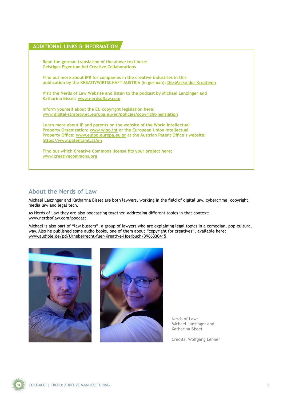#### **ADDITIONAL LINKS & INFORMATION**

**Read the german translation of the above text here: [Geistiges Eigentum bei Creative Collaborations](https://creativeregion.org/2021/03/geistiges-eigentum-bei-creative-collaborations/)**

**Find out more about IPR for companies in the creative industries in this publication by the KREATIVWIRTSCHAFT AUSTRIA (in german): [Die Marke der Kreativen](https://www.kreativwirtschaft.at/wp-content/uploads/2020/10/KAT_Marke_der_Kreativen_Nov2019_05_2020_29.pdf)**

**Visit the Nerds of Law Website and listen to the podcast by Michael Lanzinger and Katharina Bisset: [www.nerdsoflaw.com](http://www.nerdsoflaw.com)**

**Inform yourself about the EU copyright legislation here: [www.digital-strategy.ec.europa.eu/en/policies/copyright-legislation](http://digital-strategy.ec.europa.eu/en/policies/copyright-legislation)**

**Learn more about IP and patents on the website of the World Intellectual Property Organization: [www.wipo.int](https://www.wipo.int) or the European Union Intellectual Property Office: [www.euipo.europa.eu or](http://www.euipo.europa.eu) at the Austrian Patent Office's website: <https://www.patentamt.at/en>**

**Find out which Creative Commons license fits your project here: [www.creativecommons.org](http://www.creativecommons.org)**

#### **About the Nerds of Law**

Michael Lanzinger and Katharina Bisset are both lawyers, working in the field of digital law, cybercrime, copyright, media law and legal tech.

As Nerds of Law they are also podcasting together, addressing different topics in that context: [www.nerdsoflaw.com/podcast](https://www.nerdsoflaw.com/podcast).

Michael is also part of "law busters", a group of lawyers who are explaining legal topics in a comedian, pop-cultural way. Also he published some audio books, one of them about "copyright for creatives", available here: [www.audible.de/pd/Urheberrecht-fuer-Kreative-Hoerbuch/3966330415](https://www.audible.de/pd/Urheberrecht-fuer-Kreative-Hoerbuch/3966330415).





Nerds of Law: Michael Lanzinger and Katharina Bisset

Credits: Wolfgang Lehner